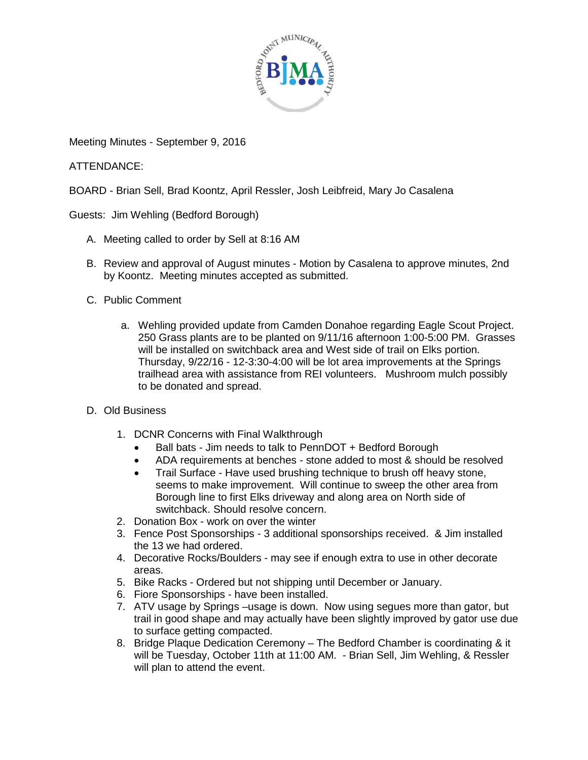

Meeting Minutes - September 9, 2016

ATTENDANCE:

BOARD - Brian Sell, Brad Koontz, April Ressler, Josh Leibfreid, Mary Jo Casalena

Guests: Jim Wehling (Bedford Borough)

- A. Meeting called to order by Sell at 8:16 AM
- B. Review and approval of August minutes Motion by Casalena to approve minutes, 2nd by Koontz. Meeting minutes accepted as submitted.
- C. Public Comment
	- a. Wehling provided update from Camden Donahoe regarding Eagle Scout Project. 250 Grass plants are to be planted on 9/11/16 afternoon 1:00-5:00 PM. Grasses will be installed on switchback area and West side of trail on Elks portion. Thursday, 9/22/16 - 12-3:30-4:00 will be lot area improvements at the Springs trailhead area with assistance from REI volunteers. Mushroom mulch possibly to be donated and spread.
- D. Old Business
	- 1. DCNR Concerns with Final Walkthrough
		- Ball bats Jim needs to talk to PennDOT + Bedford Borough
		- ADA requirements at benches stone added to most & should be resolved
		- Trail Surface Have used brushing technique to brush off heavy stone, seems to make improvement. Will continue to sweep the other area from Borough line to first Elks driveway and along area on North side of switchback. Should resolve concern.
	- 2. Donation Box work on over the winter
	- 3. Fence Post Sponsorships 3 additional sponsorships received. & Jim installed the 13 we had ordered.
	- 4. Decorative Rocks/Boulders may see if enough extra to use in other decorate areas.
	- 5. Bike Racks Ordered but not shipping until December or January.
	- 6. Fiore Sponsorships have been installed.
	- 7. ATV usage by Springs –usage is down. Now using segues more than gator, but trail in good shape and may actually have been slightly improved by gator use due to surface getting compacted.
	- 8. Bridge Plaque Dedication Ceremony The Bedford Chamber is coordinating & it will be Tuesday, October 11th at 11:00 AM. - Brian Sell, Jim Wehling, & Ressler will plan to attend the event.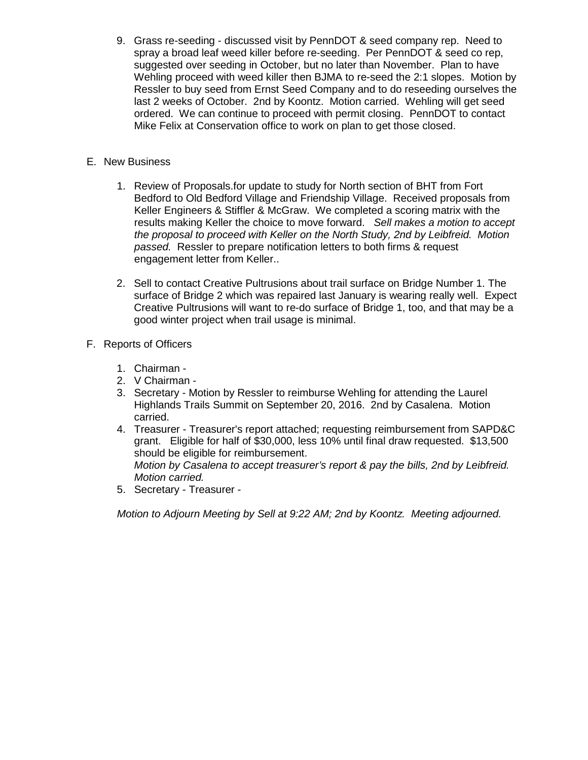9. Grass re-seeding - discussed visit by PennDOT & seed company rep. Need to spray a broad leaf weed killer before re-seeding. Per PennDOT & seed co rep, suggested over seeding in October, but no later than November. Plan to have Wehling proceed with weed killer then BJMA to re-seed the 2:1 slopes. Motion by Ressler to buy seed from Ernst Seed Company and to do reseeding ourselves the last 2 weeks of October. 2nd by Koontz. Motion carried. Wehling will get seed ordered. We can continue to proceed with permit closing. PennDOT to contact Mike Felix at Conservation office to work on plan to get those closed.

## E. New Business

- 1. Review of Proposals.for update to study for North section of BHT from Fort Bedford to Old Bedford Village and Friendship Village. Received proposals from Keller Engineers & Stiffler & McGraw. We completed a scoring matrix with the results making Keller the choice to move forward. *Sell makes a motion to accept the proposal to proceed with Keller on the North Study, 2nd by Leibfreid. Motion passed.* Ressler to prepare notification letters to both firms & request engagement letter from Keller..
- 2. Sell to contact Creative Pultrusions about trail surface on Bridge Number 1. The surface of Bridge 2 which was repaired last January is wearing really well. Expect Creative Pultrusions will want to re-do surface of Bridge 1, too, and that may be a good winter project when trail usage is minimal.
- F. Reports of Officers
	- 1. Chairman -
	- 2. V Chairman -
	- 3. Secretary Motion by Ressler to reimburse Wehling for attending the Laurel Highlands Trails Summit on September 20, 2016. 2nd by Casalena. Motion carried.
	- 4. Treasurer Treasurer's report attached; requesting reimbursement from SAPD&C grant. Eligible for half of \$30,000, less 10% until final draw requested. \$13,500 should be eligible for reimbursement. *Motion by Casalena to accept treasurer's report & pay the bills, 2nd by Leibfreid. Motion carried.*
	- 5. Secretary Treasurer -

*Motion to Adjourn Meeting by Sell at 9:22 AM; 2nd by Koontz. Meeting adjourned.*